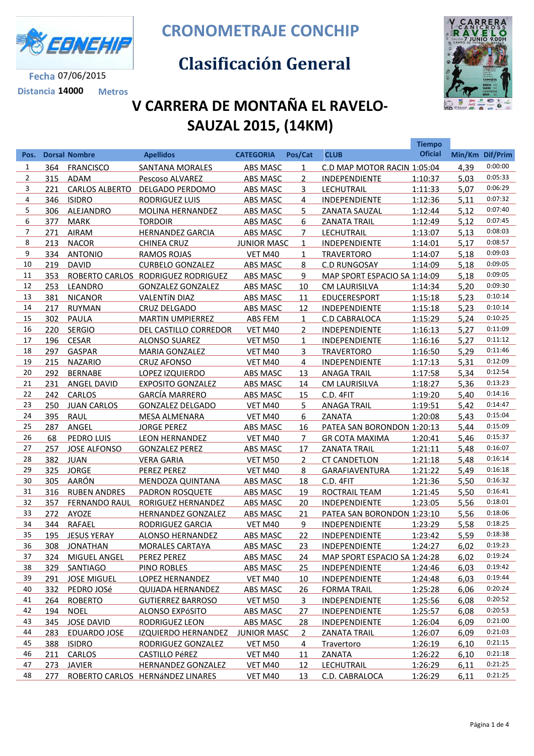

**Fecha** 07/06/2015 **Distancia 14000 Metros** **CRONOMETRAJE CONCHIP**

## **Clasificación General**



**Tiempo** 

## **V CARRERA DE MONTAÑA EL RAVELO-SAUZAL 2015, (14KM)**

| Pos.           |     | <b>Dorsal Nombre</b>  | <b>Apellidos</b>                   | <b>CATEGORIA</b>   | Pos/Cat        | <b>CLUB</b>                  | <b>Oficial</b> |      | Min/Km Dif/Prim |
|----------------|-----|-----------------------|------------------------------------|--------------------|----------------|------------------------------|----------------|------|-----------------|
| 1              | 364 | <b>FRANCISCO</b>      | <b>SANTANA MORALES</b>             | ABS MASC           | $\mathbf{1}$   | C.D MAP MOTOR RACIN 1:05:04  |                | 4,39 | 0:00:00         |
| $\overline{2}$ | 315 | ADAM                  | Pescoso ALVAREZ                    | ABS MASC           | $\overline{2}$ | <b>INDEPENDIENTE</b>         | 1:10:37        | 5,03 | 0:05:33         |
| 3              | 221 | <b>CARLOS ALBERTO</b> | DELGADO PERDOMO                    | ABS MASC           | 3              | <b>LECHUTRAIL</b>            | 1:11:33        | 5,07 | 0:06:29         |
| 4              | 346 | <b>ISIDRO</b>         | RODRIGUEZ LUIS                     | <b>ABS MASC</b>    | 4              | <b>INDEPENDIENTE</b>         | 1:12:36        | 5,11 | 0:07:32         |
| 5              | 306 | ALEJANDRO             | MOLINA HERNANDEZ                   | ABS MASC           | 5.             | ZANATA SAUZAL                | 1:12:44        | 5,12 | 0:07:40         |
| 6              | 377 | <b>MARK</b>           | <b>TORDOIR</b>                     | <b>ABS MASC</b>    | 6              | <b>ZANATA TRAIL</b>          | 1:12:49        | 5,12 | 0:07:45         |
| $\overline{7}$ | 271 | <b>AIRAM</b>          | <b>HERNANDEZ GARCIA</b>            | ABS MASC           | $\overline{7}$ | LECHUTRAIL                   | 1:13:07        | 5,13 | 0:08:03         |
| 8              | 213 | <b>NACOR</b>          | <b>CHINEA CRUZ</b>                 | <b>JUNIOR MASC</b> | $\mathbf{1}$   | INDEPENDIENTE                | 1:14:01        | 5,17 | 0:08:57         |
| 9              | 334 | <b>ANTONIO</b>        | <b>RAMOS ROJAS</b>                 | VET M40            | $\mathbf{1}$   | <b>TRAVERTORO</b>            | 1:14:07        | 5,18 | 0:09:03         |
| 10             | 219 | <b>DAVID</b>          | <b>CURBELO GONZALEZ</b>            | ABS MASC           | 8              | <b>C.D RUNGOSAY</b>          | 1:14:09        | 5,18 | 0:09:05         |
| 11             | 353 |                       | ROBERTO CARLOS RODRIGUEZ RODRIGUEZ | <b>ABS MASC</b>    | 9              | MAP SPORT ESPACIO SA 1:14:09 |                | 5,18 | 0:09:05         |
| 12             | 253 | LEANDRO               | <b>GONZALEZ GONZALEZ</b>           | <b>ABS MASC</b>    | 10             | <b>CM LAURISILVA</b>         | 1:14:34        | 5,20 | 0:09:30         |
| 13             | 381 | <b>NICANOR</b>        | <b>VALENTÍN DIAZ</b>               | ABS MASC           | 11             | <b>EDUCERESPORT</b>          | 1:15:18        | 5,23 | 0:10:14         |
| 14             | 217 | <b>RUYMAN</b>         | CRUZ DELGADO                       | ABS MASC           | 12             | INDEPENDIENTE                | 1:15:18        | 5,23 | 0:10:14         |
| 15             | 302 | PAULA                 | <b>MARTIN UMPIERREZ</b>            | ABS FEM            | $\mathbf{1}$   | C.D CABRALOCA                | 1:15:29        | 5,24 | 0:10:25         |
| 16             | 220 | <b>SERGIO</b>         | DEL CASTILLO CORREDOR              | VET M40            | $\overline{2}$ | <b>INDEPENDIENTE</b>         | 1:16:13        | 5,27 | 0:11:09         |
| 17             | 196 | <b>CESAR</b>          | <b>ALONSO SUAREZ</b>               | <b>VET M50</b>     | $\mathbf{1}$   | INDEPENDIENTE                | 1:16:16        | 5,27 | 0:11:12         |
| 18             | 297 | GASPAR                | <b>MARIA GONZALEZ</b>              | VET M40            | 3              | <b>TRAVERTORO</b>            | 1:16:50        | 5,29 | 0:11:46         |
| 19             | 215 | <b>NAZARIO</b>        | <b>CRUZ AFONSO</b>                 | <b>VET M40</b>     | $\overline{4}$ | <b>INDEPENDIENTE</b>         | 1:17:13        | 5,31 | 0:12:09         |
| 20             | 292 | <b>BERNABE</b>        | LOPEZ IZQUIERDO                    | ABS MASC           | 13             | <b>ANAGA TRAIL</b>           | 1:17:58        | 5,34 | 0:12:54         |
| 21             | 231 | ANGEL DAVID           | <b>EXPOSITO GONZALEZ</b>           | <b>ABS MASC</b>    | 14             | <b>CM LAURISILVA</b>         | 1:18:27        | 5,36 | 0:13:23         |
| 22             | 242 | <b>CARLOS</b>         | <b>GARCÍA MARRERO</b>              | ABS MASC           | 15             | C.D. 4FIT                    | 1:19:20        | 5,40 | 0:14:16         |
| 23             | 250 | <b>JUAN CARLOS</b>    | <b>GONZALEZ DELGADO</b>            | VET M40            | 5              | <b>ANAGA TRAIL</b>           | 1:19:51        | 5,42 | 0:14:47         |
| 24             | 395 | RAUL                  | <b>MESA ALMENARA</b>               | VET M40            | 6              | ZANATA                       | 1:20:08        | 5,43 | 0:15:04         |
| 25             | 287 | ANGEL                 | <b>JORGE PEREZ</b>                 | ABS MASC           | 16             | PATEA SAN BORONDON 1:20:13   |                | 5,44 | 0:15:09         |
| 26             | 68  | PEDRO LUIS            | <b>LEON HERNANDEZ</b>              | <b>VET M40</b>     | $\overline{7}$ | <b>GR COTA MAXIMA</b>        | 1:20:41        | 5,46 | 0:15:37         |
| 27             | 257 | <b>JOSE ALFONSO</b>   | <b>GONZALEZ PEREZ</b>              | <b>ABS MASC</b>    | 17             | <b>ZANATA TRAIL</b>          | 1:21:11        | 5,48 | 0:16:07         |
| 28             | 382 | JUAN                  | <b>VERA GARIA</b>                  | VET M50            | $\overline{2}$ | <b>CT CANDETLON</b>          | 1:21:18        | 5,48 | 0:16:14         |
| 29             |     | 325 JORGE             | PEREZ PEREZ                        | VET M40            | 8              | <b>GARAFIAVENTURA</b>        | 1:21:22        | 5,49 | 0:16:18         |
| 30             |     | 305 AARÓN             | MENDOZA QUINTANA                   | ABS MASC           | 18             | C.D. 4FIT                    | 1:21:36        | 5,50 | 0:16:32         |
| 31             |     | 316 RUBEN ANDRES      | <b>PADRON ROSQUETE</b>             | ABS MASC           | 19             | ROCTRAIL TEAM                | 1:21:45        | 5,50 | 0:16:41         |
| 32             | 357 | FERNANDO RAUL         | RORIGUEZ HERNANDEZ                 | ABS MASC           | 20             | <b>INDEPENDIENTE</b>         | 1:23:05        | 5,56 | 0:18:01         |
| 33             |     | 272 AYOZE             | HERNANDEZ GONZALEZ                 | <b>ABS MASC</b>    | 21             | PATEA SAN BORONDON 1:23:10   |                | 5,56 | 0:18:06         |
| 34             |     | 344 RAFAEL            | RODRIGUEZ GARCIA                   | VET M40            | 9              | <b>INDEPENDIENTE</b>         | 1:23:29        | 5,58 | 0:18:25         |
| 35             | 195 | <b>JESUS YERAY</b>    | <b>ALONSO HERNANDEZ</b>            | <b>ABS MASC</b>    | 22             | <b>INDEPENDIENTE</b>         | 1:23:42        | 5,59 | 0:18:38         |
| 36             | 308 | <b>JONATHAN</b>       | <b>MORALES CARTAYA</b>             | ABS MASC           | 23             | <b>INDEPENDIENTE</b>         | 1:24:27        | 6,02 | 0:19:23         |
| 37             | 324 | MIGUEL ANGEL          | PEREZ PEREZ                        | <b>ABS MASC</b>    | 24             | MAP SPORT ESPACIO SA 1:24:28 |                | 6,02 | 0:19:24         |
| 38             | 329 | SANTIAGO              | PINO ROBLES                        | <b>ABS MASC</b>    | 25             | <b>INDEPENDIENTE</b>         | 1:24:46        | 6,03 | 0:19:42         |
| 39             | 291 | <b>JOSE MIGUEL</b>    | LOPEZ HERNANDEZ                    | <b>VET M40</b>     | 10             | <b>INDEPENDIENTE</b>         | 1:24:48        | 6,03 | 0:19:44         |
| 40             | 332 | PEDRO JOSé            | <b>QUIJADA HERNANDEZ</b>           | <b>ABS MASC</b>    | <u>26</u>      | <b>FORMA TRAIL</b>           | 1:25:28        | 6,06 | 0:20:24         |
| 41             | 264 | <b>ROBERTO</b>        | <b>GUTIERREZ BARROSO</b>           | VET M50            | $\overline{3}$ | <b>INDEPENDIENTE</b>         | 1:25:56        | 6,08 | 0:20:52         |
| 42             | 194 | <b>NOEL</b>           | <b>ALONSO EXPÓSITO</b>             | <b>ABS MASC</b>    | 27             | <b>INDEPENDIENTE</b>         | 1:25:57        | 6,08 | 0:20:53         |
| 43             | 345 | <b>JOSE DAVID</b>     | RODRIGUEZ LEON                     | <b>ABS MASC</b>    | <u>28</u>      | <b>INDEPENDIENTE</b>         | 1:26:04        | 6,09 | 0:21:00         |
| 44             | 283 | EDUARDO JOSE          | <b>IZQUIERDO HERNANDEZ</b>         | <b>JUNIOR MASC</b> | $\overline{2}$ | <b>ZANATA TRAIL</b>          | 1:26:07        | 6,09 | 0:21:03         |
| 45             | 388 | <b>ISIDRO</b>         | RODRIGUEZ GONZALEZ                 | <b>VET M50</b>     | 4              | Travertoro                   | 1:26:19        | 6,10 | 0:21:15         |
| 46             | 211 | <b>CARLOS</b>         | <b>CASTILLO PÉREZ</b>              | <b>VET M40</b>     | 11             | <b>ZANATA</b>                | 1:26:22        | 6,10 | 0:21:18         |
| 47             | 273 | <b>JAVIER</b>         | HERNANDEZ GONZALEZ                 | VET M40            | 12             | <b>LECHUTRAIL</b>            | 1:26:29        | 6,11 | 0:21:25         |
| 48             | 277 |                       | ROBERTO CARLOS HERNÁNDEZ LINARES   | <b>VET M40</b>     | 13             | C.D. CABRALOCA               | 1:26:29        | 6,11 | 0:21:25         |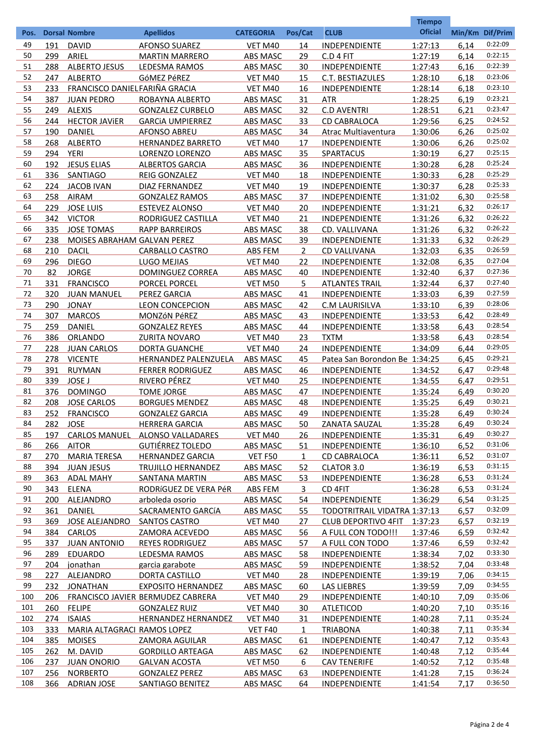|            |     |                               |                                             |                  |                |                                     | <b>Tiempo</b>      |      |                 |
|------------|-----|-------------------------------|---------------------------------------------|------------------|----------------|-------------------------------------|--------------------|------|-----------------|
| Pos.       |     | <b>Dorsal Nombre</b>          | <b>Apellidos</b>                            | <b>CATEGORIA</b> | Pos/Cat        | <b>CLUB</b>                         | <b>Oficial</b>     |      | Min/Km Dif/Prim |
| 49         | 191 | <b>DAVID</b>                  | <b>AFONSO SUAREZ</b>                        | VET M40          | 14             | INDEPENDIENTE                       | 1:27:13            | 6,14 | 0:22:09         |
| 50         | 299 | ARIEL                         | <b>MARTIN MARRERO</b>                       | ABS MASC         | 29             | C.D 4 FIT                           | 1:27:19            | 6,14 | 0:22:15         |
| 51         | 288 | <b>ALBERTO JESUS</b>          | LEDESMA RAMOS                               | <b>ABS MASC</b>  | 30             | INDEPENDIENTE                       | 1:27:43            | 6,16 | 0:22:39         |
| 52         | 247 | <b>ALBERTO</b>                | GÓMEZ PéREZ                                 | VET M40          | 15             | C.T. BESTIAZULES                    | 1:28:10            | 6,18 | 0:23:06         |
| 53         | 233 | FRANCISCO DANIELFARIÑA GRACIA |                                             | VET M40          | 16             | INDEPENDIENTE                       | 1:28:14            | 6,18 | 0:23:10         |
| 54         | 387 | <b>JUAN PEDRO</b>             | ROBAYNA ALBERTO                             | <b>ABS MASC</b>  | 31             | <b>ATR</b>                          | 1:28:25            | 6,19 | 0:23:21         |
| 55         | 249 | <b>ALEXIS</b>                 | <b>GONZALEZ CURBELO</b>                     | ABS MASC         | 32             | <b>C.D AVENTRI</b>                  | 1:28:51            | 6,21 | 0:23:47         |
| 56         | 244 | <b>HECTOR JAVIER</b>          | <b>GARCIA UMPIERREZ</b>                     | <b>ABS MASC</b>  | 33             | CD CABRALOCA                        | 1:29:56            | 6,25 | 0:24:52         |
| 57         | 190 | <b>DANIEL</b>                 | AFONSO ABREU                                | ABS MASC         | 34             | Atrac Multiaventura                 | 1:30:06            | 6,26 | 0:25:02         |
| 58         | 268 | <b>ALBERTO</b>                | <b>HERNANDEZ BARRETO</b>                    | VET M40          | 17             | INDEPENDIENTE                       | 1:30:06            | 6,26 | 0:25:02         |
| 59         | 294 | YERI                          | LORENZO LORENZO                             | ABS MASC         | 35             | <b>SPARTACUS</b>                    | 1:30:19            | 6,27 | 0:25:15         |
| 60         | 192 | <b>JESUS ELIAS</b>            | <b>ALBERTOS GARCIA</b>                      | ABS MASC         | 36             | INDEPENDIENTE                       | 1:30:28            | 6,28 | 0:25:24         |
| 61         | 336 | SANTIAGO                      | REIG GONZALEZ                               | VET M40          | 18             | INDEPENDIENTE                       | 1:30:33            | 6,28 | 0:25:29         |
| 62         | 224 | <b>JACOB IVAN</b>             | <b>DIAZ FERNANDEZ</b>                       | VET M40          | 19             | INDEPENDIENTE                       | 1:30:37            | 6,28 | 0:25:33         |
| 63         | 258 | <b>AIRAM</b>                  | <b>GONZALEZ RAMOS</b>                       | ABS MASC         | 37             | INDEPENDIENTE                       | 1:31:02            | 6,30 | 0:25:58         |
| 64         | 229 | <b>JOSE LUIS</b>              | <b>ESTEVEZ ALONSO</b>                       | VET M40          | 20             | INDEPENDIENTE                       | 1:31:21            | 6,32 | 0:26:17         |
| 65         | 342 | <b>VICTOR</b>                 | RODRIGUEZ CASTILLA                          | VET M40          | 21             | INDEPENDIENTE                       | 1:31:26            | 6,32 | 0:26:22         |
| 66         | 335 | <b>JOSE TOMAS</b>             | <b>RAPP BARREIROS</b>                       | ABS MASC         | 38             | CD. VALLIVANA                       | 1:31:26            | 6,32 | 0:26:22         |
| 67         | 238 | MOISES ABRAHAM GALVAN PEREZ   |                                             | ABS MASC         | 39             | INDEPENDIENTE                       | 1:31:33            | 6,32 | 0:26:29         |
| 68         | 210 | <b>DACIL</b>                  | <b>CARBALLO CASTRO</b>                      | <b>ABS FEM</b>   | $\overline{2}$ | <b>CD VALLIVANA</b>                 | 1:32:03            | 6,35 | 0:26:59         |
| 69         | 296 | <b>DIEGO</b>                  | <b>LUGO MEJIAS</b>                          | VET M40          | 22             | INDEPENDIENTE                       | 1:32:08            | 6,35 | 0:27:04         |
| 70         | 82  | <b>JORGE</b>                  | DOMINGUEZ CORREA                            | <b>ABS MASC</b>  | 40             | INDEPENDIENTE                       | 1:32:40            | 6,37 | 0:27:36         |
| 71         | 331 | <b>FRANCISCO</b>              | PORCEL PORCEL                               | VET M50          | 5              | <b>ATLANTES TRAIL</b>               | 1:32:44            | 6,37 | 0:27:40         |
| 72         | 320 | <b>JUAN MANUEL</b>            | PEREZ GARCIA                                | ABS MASC         | 41             | INDEPENDIENTE                       | 1:33:03            | 6,39 | 0:27:59         |
| 73         | 290 | <b>JONAY</b>                  | <b>LEON CONCEPCION</b>                      | <b>ABS MASC</b>  | 42             | C.M LAURISILVA                      | 1:33:10            | 6,39 | 0:28:06         |
| 74         | 307 | <b>MARCOS</b>                 | MONZÓN PéREZ                                | <b>ABS MASC</b>  | 43             | INDEPENDIENTE                       | 1:33:53            | 6,42 | 0:28:49         |
| 75         | 259 | <b>DANIEL</b>                 | <b>GONZALEZ REYES</b>                       | ABS MASC         | 44             | INDEPENDIENTE                       | 1:33:58            | 6,43 | 0:28:54         |
| 76         | 386 | <b>ORLANDO</b>                | <b>ZURITA NOVARO</b>                        | VET M40          | 23             | <b>TXTM</b>                         | 1:33:58            | 6,43 | 0:28:54         |
| 77         | 228 | <b>JUAN CARLOS</b>            | <b>DORTA GUANCHE</b>                        | VET M40          | 24             | <b>INDEPENDIENTE</b>                | 1:34:09            | 6,44 | 0:29:05         |
| 78         | 278 | <b>VICENTE</b>                | HERNANDEZ PALENZUELA                        | ABS MASC         | 45             | Patea San Borondon Be 1:34:25       |                    | 6,45 | 0:29:21         |
| 79         | 391 | <b>RUYMAN</b>                 | <b>FERRER RODRIGUEZ</b>                     | <b>ABS MASC</b>  | 46             | INDEPENDIENTE                       | 1:34:52            | 6,47 | 0:29:48         |
| 80         | 339 | <b>JOSE J</b>                 | RIVERO PÉREZ                                | VET M40          | 25             | INDEPENDIENTE                       | 1:34:55            | 6,47 | 0:29:51         |
| 81         | 376 | <b>DOMINGO</b>                | <b>TOME JORGE</b>                           | <b>ABS MASC</b>  | 47             | <b>INDEPENDIENTE</b>                | 1:35:24            | 6.49 | 0:30:20         |
| 82         | 208 | <b>JOSE CARLOS</b>            | <b>BORGUES MENDEZ</b>                       | <b>ABS MASC</b>  | 48             | <b>INDEPENDIENTE</b>                | 1:35:25            | 6,49 | 0:30:21         |
| 83         | 252 | <b>FRANCISCO</b>              | <b>GONZALEZ GARCIA</b>                      | ABS MASC         | 49             | INDEPENDIENTE                       | 1:35:28            | 6,49 | 0:30:24         |
| 84         | 282 | <b>JOSE</b>                   | <b>HERRERA GARCIA</b>                       | <b>ABS MASC</b>  | 50             | ZANATA SAUZAL                       | 1:35:28            | 6,49 | 0:30:24         |
| 85         | 197 | <b>CARLOS MANUEL</b>          | ALONSO VALLADARES                           | <b>VET M40</b>   | 26             | <b>INDEPENDIENTE</b>                | 1:35:31            | 6,49 | 0:30:27         |
| 86         | 266 | <b>AITOR</b>                  | <b>GUTIÉRREZ TOLEDO</b>                     | ABS MASC         | 51             | <b>INDEPENDIENTE</b>                | 1:36:10            | 6,52 | 0:31:06         |
| 87         | 270 | <b>MARIA TERESA</b>           | <b>HERNANDEZ GARCIA</b>                     | <b>VET F50</b>   | 1              | <b>CD CABRALOCA</b>                 | 1:36:11            | 6,52 | 0:31:07         |
| 88         | 394 | <b>JUAN JESUS</b>             | TRUJILLO HERNANDEZ                          | ABS MASC         | 52             | <b>CLATOR 3.0</b>                   | 1:36:19            | 6,53 | 0:31:15         |
| 89         | 363 | <b>ADAL MAHY</b>              | SANTANA MARTIN                              | ABS MASC         | 53             | <b>INDEPENDIENTE</b>                | 1:36:28            | 6,53 | 0:31:24         |
| 90         | 343 | ELENA                         | RODRÍGUEZ DE VERA PéR                       | ABS FEM          | 3              | CD 4FIT                             | 1:36:28            | 6,53 | 0:31:24         |
| 91         | 200 | <b>ALEJANDRO</b>              | arboleda osorio                             | ABS MASC         | 54             | <b>INDEPENDIENTE</b>                | 1:36:29            | 6,54 | 0:31:25         |
| 92         | 361 | <b>DANIEL</b>                 | SACRAMENTO GARCÍA                           | ABS MASC         | 55             | <b>TODOTRITRAIL VIDATRA 1:37:13</b> |                    | 6,57 | 0:32:09         |
| 93         | 369 | JOSE ALEJANDRO                | <b>SANTOS CASTRO</b>                        | <b>VET M40</b>   | 27             | <b>CLUB DEPORTIVO 4FIT</b>          | 1:37:23            | 6,57 | 0:32:19         |
| 94         | 384 | <b>CARLOS</b>                 | ZAMORA ACEVEDO                              | <b>ABS MASC</b>  | <u>56</u>      | A FULL CON TODO !!!                 | 1:37:46            | 6,59 | 0:32:42         |
| 95         | 337 | <b>JUAN ANTONIO</b>           | <b>REYES RODRIGUEZ</b>                      | ABS MASC         | 57             | A FULL CON TODO                     | 1:37:46            | 6,59 | 0:32:42         |
| 96         | 289 | <b>EDUARDO</b>                | LEDESMA RAMOS                               | ABS MASC         | 58             | <b>INDEPENDIENTE</b>                | 1:38:34            | 7,02 | 0:33:30         |
| 97         | 204 |                               |                                             |                  | 59             | <b>INDEPENDIENTE</b>                |                    | 7,04 | 0:33:48         |
| 98         | 227 | jonathan                      | garcia garabote                             | <b>ABS MASC</b>  | 28             | <b>INDEPENDIENTE</b>                | 1:38:52            | 7,06 | 0:34:15         |
| 99         | 232 | <b>ALEJANDRO</b>              | DORTA CASTILLO<br><b>EXPOSITO HERNANDEZ</b> | <b>VET M40</b>   | 60             | <b>LAS LIEBRES</b>                  | 1:39:19<br>1:39:59 | 7,09 | 0:34:55         |
| 100        | 206 | <b>JONATHAN</b>               | FRANCISCO JAVIER BERMUDEZ CABRERA           | <b>ABS MASC</b>  | 29             | <b>INDEPENDIENTE</b>                |                    | 7,09 | 0:35:06         |
| 101        | 260 | <b>FELIPE</b>                 | <b>GONZALEZ RUIZ</b>                        | <b>VET M40</b>   | 30             | <b>ATLETICOD</b>                    | 1:40:10            |      | 0:35:16         |
| 102        |     |                               |                                             | <b>VET M40</b>   |                |                                     | 1:40:20            | 7,10 | 0:35:24         |
|            | 274 | <b>ISAIAS</b>                 | <b>HERNANDEZ HERNANDEZ</b>                  | <b>VET M40</b>   | 31             | <b>INDEPENDIENTE</b>                | 1:40:28            | 7,11 | 0:35:34         |
| 103<br>104 | 333 | MARIA ALTAGRACI RAMOS LOPEZ   |                                             | VET F40          | $\mathbf{1}$   | <b>TRIABONA</b>                     | 1:40:38            | 7,11 | 0:35:43         |
|            | 385 | <b>MOISES</b>                 | <b>ZAMORA AGUILAR</b>                       | <b>ABS MASC</b>  | 61             | <b>INDEPENDIENTE</b>                | 1:40:47            | 7,12 | 0:35:44         |
| 105        | 262 | M. DAVID                      | <b>GORDILLO ARTEAGA</b>                     | <b>ABS MASC</b>  | 62             | <b>INDEPENDIENTE</b>                | 1:40:48            | 7,12 | 0:35:48         |
| 106        | 237 | <b>JUAN ONORIO</b>            | <b>GALVAN ACOSTA</b>                        | <b>VET M50</b>   | 6              | <b>CAV TENERIFE</b>                 | 1:40:52            | 7,12 | 0:36:24         |
| 107        | 256 | <b>NORBERTO</b>               | <b>GONZALEZ PEREZ</b>                       | <b>ABS MASC</b>  | 63             | <b>INDEPENDIENTE</b>                | 1:41:28            | 7,15 | 0:36:50         |
| 108        | 366 | <b>ADRIAN JOSE</b>            | <b>SANTIAGO BENITEZ</b>                     | <b>ABS MASC</b>  | 64             | <b>INDEPENDIENTE</b>                | 1:41:54            | 7,17 |                 |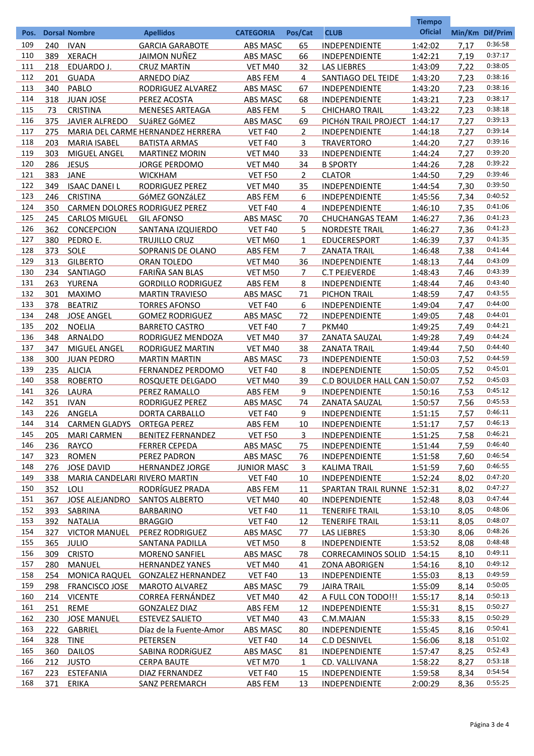|            |            |                                      |                                                 |                           |                |                                              | <b>Tiempo</b>      |                 |                    |
|------------|------------|--------------------------------------|-------------------------------------------------|---------------------------|----------------|----------------------------------------------|--------------------|-----------------|--------------------|
| Pos.       |            | <b>Dorsal Nombre</b>                 | <b>Apellidos</b>                                | <b>CATEGORIA</b>          | Pos/Cat        | <b>CLUB</b>                                  | <b>Oficial</b>     | Min/Km Dif/Prim |                    |
| 109        | 240        | <b>IVAN</b>                          | <b>GARCIA GARABOTE</b>                          | <b>ABS MASC</b>           | 65             | INDEPENDIENTE                                | 1:42:02            | 7,17            | 0:36:58            |
| 110        | 389        | <b>XERACH</b>                        | JAIMON NUÑEZ                                    | ABS MASC                  | 66             | INDEPENDIENTE                                | 1:42:21            | 7,19            | 0:37:17            |
| 111        | 218        | EDUARDO J.                           | <b>CRUZ MARTÍN</b>                              | VET M40                   | 32             | <b>LAS LIEBRES</b>                           | 1:43:09            | 7,22            | 0:38:05            |
| 112        | 201        | <b>GUADA</b>                         | ARNEDO DÍAZ                                     | ABS FEM                   | 4              | SANTIAGO DEL TEIDE                           | 1:43:20            | 7,23            | 0:38:16            |
| 113        | 340        | PABLO                                | RODRIGUEZ ALVAREZ                               | ABS MASC                  | 67             | INDEPENDIENTE                                | 1:43:20            | 7,23            | 0:38:16            |
| 114        | 318        | <b>JUAN JOSE</b>                     | PEREZ ACOSTA                                    | ABS MASC                  | 68             | INDEPENDIENTE                                | 1:43:21            | 7,23            | 0:38:17            |
| 115        | 73         | <b>CRISTINA</b>                      | <b>MENESES ARTEAGA</b>                          | ABS FEM                   | 5              | <b>CHICHARO TRAIL</b>                        | 1:43:22            | 7,23            | 0:38:18            |
| 116        | 375        | <b>JAVIER ALFREDO</b>                | SUÁREZ GÓMEZ                                    | <b>ABS MASC</b>           | 69             | PICHÓN TRAIL PROJECT                         | 1:44:17            | 7,27            | 0:39:13            |
| 117        | 275        |                                      | MARIA DEL CARME HERNANDEZ HERRERA               | VET F40                   | $\overline{2}$ | INDEPENDIENTE                                | 1:44:18            | 7,27            | 0:39:14            |
| 118        | 203        | <b>MARIA ISABEL</b>                  | <b>BATISTA ARMAS</b>                            | VET F40                   | 3              | <b>TRAVERTORO</b>                            | 1:44:20            | 7,27            | 0:39:16            |
| 119        | 303        | MIGUEL ANGEL                         | <b>MARTINEZ MORIN</b>                           | VET M40                   | 33             | INDEPENDIENTE                                | 1:44:24            | 7,27            | 0:39:20            |
| 120        | 286        | <b>JESUS</b>                         | JORGE PERDOMO                                   | VET M40                   | 34             | <b>B SPORTY</b>                              | 1:44:26            | 7,28            | 0:39:22            |
| 121        | 383        | <b>JANE</b>                          | <b>WICKHAM</b>                                  | <b>VET F50</b>            | $\overline{2}$ | <b>CLATOR</b>                                | 1:44:50            | 7,29            | 0:39:46            |
| 122        | 349        | <b>ISAAC DANELL</b>                  | RODRIGUEZ PEREZ                                 | VET M40                   | 35             | INDEPENDIENTE                                | 1:44:54            | 7,30            | 0:39:50            |
| 123        | 246        | <b>CRISTINA</b>                      | GÓMEZ GONZÁLEZ                                  | ABS FEM                   | 6              | INDEPENDIENTE                                | 1:45:56            | 7,34            | 0:40:52            |
| 124        | 350        | CARMEN DOLORES RODRIGUEZ PEREZ       |                                                 | VET F40                   | 4              | INDEPENDIENTE                                | 1:46:10            | 7,35            | 0:41:06            |
| 125        | 245        | <b>CARLOS MIGUEL</b>                 | <b>GIL AFONSO</b>                               | ABS MASC                  | 70             | <b>CHUCHANGAS TEAM</b>                       | 1:46:27            | 7,36            | 0:41:23            |
| 126        | 362        | <b>CONCEPCION</b>                    | SANTANA IZQUIERDO                               | VET F40                   | 5              | <b>NORDESTE TRAIL</b>                        | 1:46:27            | 7,36            | 0:41:23            |
| 127        | 380        | PEDRO E.                             | TRUJILLO CRUZ                                   | VET M60                   | $\mathbf{1}$   | <b>EDUCERESPORT</b>                          | 1:46:39            | 7,37            | 0:41:35            |
| 128        | 373        | <b>SOLE</b>                          | SOPRANIS DE OLANO                               | ABS FEM                   | 7              | <b>ZANATA TRAIL</b>                          | 1:46:48            | 7,38            | 0:41:44            |
| 129        | 313        | <b>GILBERTO</b>                      | <b>ORAN TOLEDO</b>                              | VET M40                   | 36             | <b>INDEPENDIENTE</b>                         | 1:48:13            | 7,44            | 0:43:09            |
| 130        | 234        | <b>SANTIAGO</b>                      | FARIÑA SAN BLAS                                 | VET M50                   | 7              | <b>C.T PEJEVERDE</b>                         | 1:48:43            | 7,46            | 0:43:39            |
| 131        | 263        | YURENA                               | <b>GORDILLO RODRIGUEZ</b>                       | ABS FEM                   | 8              | INDEPENDIENTE                                | 1:48:44            | 7,46            | 0:43:40            |
| 132        | 301        | <b>MAXIMO</b>                        | <b>MARTIN TRAVIESO</b>                          | <b>ABS MASC</b>           | 71             | PICHON TRAIL                                 | 1:48:59            | 7,47            | 0:43:55            |
| 133        | 378        | <b>BEATRIZ</b>                       | <b>TORRES AFONSO</b>                            | VET F40                   | 6              | INDEPENDIENTE                                | 1:49:04            | 7,47            | 0:44:00            |
| 134        | 248        | <b>JOSE ANGEL</b>                    | <b>GOMEZ RODRIGUEZ</b>                          | <b>ABS MASC</b>           | 72             | INDEPENDIENTE                                | 1:49:05            | 7,48            | 0:44:01            |
| 135        | 202        | <b>NOELIA</b>                        | <b>BARRETO CASTRO</b>                           | VET F40                   | $\overline{7}$ | <b>PKM40</b>                                 | 1:49:25            | 7,49            | 0:44:21            |
| 136        | 348        | <b>ARNALDO</b>                       | RODRIGUEZ MENDOZA                               | VET M40                   | 37             | <b>ZANATA SAUZAL</b>                         | 1:49:28            | 7,49            | 0:44:24            |
| 137        | 347        | MIGUEL ANGEL                         | RODRIGUEZ MARTIN                                | VET M40                   | 38             | <b>ZANATA TRAIL</b>                          | 1:49:44            | 7,50            | 0:44:40            |
| 138        | 300        | <b>JUAN PEDRO</b>                    | <b>MARTIN MARTIN</b>                            | <b>ABS MASC</b>           | 73             | INDEPENDIENTE                                | 1:50:03            | 7,52            | 0:44:59            |
| 139        | 235        | <b>ALICIA</b>                        | FERNANDEZ PERDOMO                               | VET F40                   | 8              | INDEPENDIENTE                                | 1:50:05            | 7,52            | 0:45:01<br>0:45:03 |
| 140        | 358        | <b>ROBERTO</b>                       | ROSQUETE DELGADO                                | VET M40                   | 39             | C.D BOULDER HALL CAN 1:50:07                 |                    | 7,52            | 0:45:12            |
| 141<br>142 | 326        | LAURA                                | PEREZ RAMALLO<br><b>RODRIGUEZ PEREZ</b>         | <b>ABS FEM</b>            | 9              | <b>INDEPENDIENTE</b>                         | 1:50:16            | 7,53            | 0:45:53            |
| 143        | 351<br>226 | <b>IVAN</b>                          |                                                 | <b>ABS MASC</b>           | 74<br>9        | <b>ZANATA SAUZAL</b>                         | 1:50:57            | 7,56            | 0:46:11            |
| 144        |            | ANGELA                               | <b>DORTA CARBALLO</b>                           | VET F40                   |                | INDEPENDIENTE<br>INDEPENDIENTE               | 1:51:15            | 7,57            | 0:46:13            |
| 145        | 314<br>205 | <b>CARMEN GLADYS</b>                 | <b>ORTEGA PEREZ</b><br><b>BENITEZ FERNANDEZ</b> | <b>ABS FEM</b><br>VET F50 | 10<br>3        |                                              | 1:51:17<br>1:51:25 | 7,57            | 0:46:21            |
| 146        | 236        | <b>MARI CARMEN</b><br>RAYCO          | <b>FERRER CEPEDA</b>                            | <b>ABS MASC</b>           | 75             | <b>INDEPENDIENTE</b><br><b>INDEPENDIENTE</b> | 1:51:44            | 7,58<br>7,59    | 0:46:40            |
| 147        | 323        | <b>ROMEN</b>                         | PEREZ PADRON                                    | <b>ABS MASC</b>           | 76             | <b>INDEPENDIENTE</b>                         | 1:51:58            | 7,60            | 0:46:54            |
| 148        | 276        | <b>JOSE DAVID</b>                    | <b>HERNANDEZ JORGE</b>                          | <b>JUNIOR MASC</b>        | 3              | <b>KALIMA TRAIL</b>                          | 1:51:59            | 7,60            | 0:46:55            |
| 149        | 338        | <b>MARIA CANDELARI RIVERO MARTIN</b> |                                                 | VET F40                   | 10             | <b>INDEPENDIENTE</b>                         | 1:52:24            | 8,02            | 0:47:20            |
| 150        | 352        | <b>LOLI</b>                          | RODRÍGUEZ PRADA                                 | ABS FEM                   | 11             | SPARTAN TRAIL RUNNE 1:52:31                  |                    | 8,02            | 0:47:27            |
| 151        | 367        | JOSE ALEJANDRO                       | <b>SANTOS ALBERTO</b>                           | VET M40                   | 40             | <b>INDEPENDIENTE</b>                         | 1:52:48            | 8,03            | 0:47:44            |
| 152        | 393        | <b>SABRINA</b>                       | <b>BARBARINO</b>                                | VET F40                   | 11             | <b>TENERIFE TRAIL</b>                        | 1:53:10            | 8,05            | 0:48:06            |
| 153        | 392        | <b>NATALIA</b>                       | <b>BRAGGIO</b>                                  | VET F40                   | 12             | <b>TENERIFE TRAIL</b>                        | 1:53:11            | 8,05            | 0:48:07            |
| 154        | 327        | <b>VICTOR MANUEL</b>                 | PEREZ RODRIGUEZ                                 | <b>ABS MASC</b>           | 77             | <b>LAS LIEBRES</b>                           | 1:53:30            | 8,06            | 0:48:26            |
| 155        | 365        | <b>JULIO</b>                         | SANTANA PADILLA                                 | VET M50                   | 8              | <b>INDEPENDIENTE</b>                         | 1:53:52            | 8,08            | 0:48:48            |
| 156        | 309        | <b>CRISTO</b>                        | <b>MORENO SANFIEL</b>                           | <b>ABS MASC</b>           | 78             | CORRECAMINOS SOLID 1:54:15                   |                    | 8,10            | 0:49:11            |
| 157        | 280        | MANUEL                               | <b>HERNANDEZ YANES</b>                          | VET M40                   | 41             | <b>ZONA ABORIGEN</b>                         | 1:54:16            | 8,10            | 0:49:12            |
| 158        | 254        | <b>MONICA RAQUEL</b>                 | <b>GONZALEZ HERNANDEZ</b>                       | VET F40                   | 13             | <b>INDEPENDIENTE</b>                         | 1:55:03            | 8,13            | 0:49:59            |
| 159        | 298        | <b>FRANCISCO JOSE</b>                | <b>MAROTO ALVAREZ</b>                           | <b>ABS MASC</b>           | 79             | <b>JAIRA TRAIL</b>                           | 1:55:09            | 8,14            | 0:50:05            |
| 160        | 214        | <b>VICENTE</b>                       | <b>CORREA FERNÁNDEZ</b>                         | VET M40                   | 42             | A FULL CON TODO!!!                           | 1:55:17            | 8,14            | 0:50:13            |
| 161        | 251        | REME                                 | <b>GONZALEZ DIAZ</b>                            | <b>ABS FEM</b>            | 12             | <b>INDEPENDIENTE</b>                         | <u>1:55:31</u>     | 8,15            | 0:50:27            |
| 162        | 230        | <b>JOSE MANUEL</b>                   | <b>ESTEVEZ SALIETO</b>                          | VET M40                   | 43             | C.M.MAJAN                                    | 1:55:33            | 8,15            | 0:50:29            |
| 163        | 222        | <b>GABRIEL</b>                       | Díaz de la Fuente-Amor                          | <b>ABS MASC</b>           | 80             | <b>INDEPENDIENTE</b>                         | 1:55:45            | 8,16            | 0:50:41            |
| 164        | 328        | <b>TINE</b>                          | PETERSEN                                        | VET F40                   | 14             | <b>C.D DESNIVEL</b>                          | 1:56:06            | 8,18            | 0:51:02            |
| 165        | 360        | <b>DAILOS</b>                        | SABINA RODRÍGUEZ                                | <b>ABS MASC</b>           | 81             | <b>INDEPENDIENTE</b>                         | 1:57:47            | 8,25            | 0:52:43            |
| 166        | 212        | <b>JUSTO</b>                         | <b>CERPA BAUTE</b>                              | VET M70                   | $\mathbf{1}$   | CD. VALLIVANA                                | 1:58:22            | 8,27            | 0:53:18            |
| 167        | 223        | <b>ESTEFANIA</b>                     | DIAZ FERNANDEZ                                  | VET F40                   | 15             | <b>INDEPENDIENTE</b>                         | 1:59:58            | 8,34            | 0:54:54            |
| 168        | 371        | <b>ERIKA</b>                         | SANZ PEREMARCH                                  | <b>ABS FEM</b>            | 13             | <b>INDEPENDIENTE</b>                         | 2:00:29            | 8,36            | 0:55:25            |